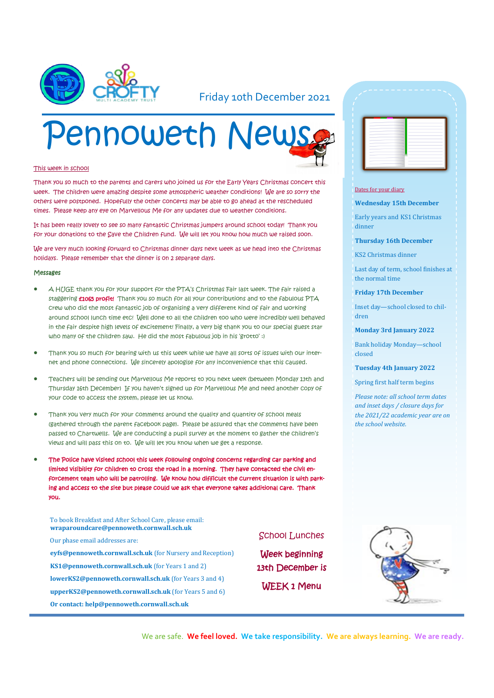

### Friday 10th December 2021

# Pennoweth News

#### This week in school

Thank you so much to the parents and carers who joined us for the Early Years Christmas concert this week. The children were amazing despite some atmospheric weather conditions! We are so sorry the others were postponed. Hopefully the other concerts may be able to go ahead at the rescheduled times. Please keep any eye on Marvellous Me for any updates due to weather conditions.

It has been really lovely to see so many fantastic Christmas jumpers around school today! Thank you for your donations to the Save the Children fund. We will let you know how much we raised soon.

We are very much looking forward to Christmas dinner days next week as we head into the Christmas holidays. Please remember that the dinner is on 2 separate days.

#### Messages

- A HUGE thank you for your support for the PTA's Christmas Fair last week. The fair raised a staggering **£1065 profit!** Thank you so much for all your contributions and to the fabulous PTA crew who did the most fantastic job of organising a very different kind of fair and working around school lunch time etc! Well done to all the children too who were incredibly well behaved in the fair despite high levels of excitement! Finally, a very big thank you to our special guest star who many of the children saw. He did the most fabulous job in his 'grotto' :)
- Thank you so much for bearing with us this week while we have all sorts of issues with our internet and phone connections. We sincerely apologise for any inconvenience that this caused.
- Teachers will be sending out Marvellous Me reports to you next week (between Monday 13th and Thursday 16th December) If you haven't signed up for Marvellous Me and need another copy of your code to access the system, please let us know.
- Thank you very much for your comments around the quality and quantity of school meals (gathered through the parent facebook page). Please be assured that the comments have been passed to Chartwells. We are conducting a pupil survey at the moment to gather the children's views and will pass this on to. We will let you know when we get a response.
- The Police have visited school this week following ongoing concerns regarding car parking and limited visibility for children to cross the road in a morning. They have contacted the civil enforcement team who will be patrolling. We know how difficult the current situation is with parking and access to the site but please could we ask that everyone takes additional care. Thank you.

To book Breakfast and After School Care, please email: **wraparoundcare@pennoweth.cornwall.sch.uk**

Our phase email addresses are:

**eyfs@pennoweth.cornwall.sch.uk** (for Nursery and Reception) **KS1@pennoweth.cornwall.sch.uk** (for Years 1 and 2) **lowerKS2@pennoweth.cornwall.sch.uk** (for Years 3 and 4) **upperKS2@pennoweth.cornwall.sch.uk** (for Years 5 and 6) **Or contact: help@pennoweth.cornwall.sch.uk**



#### Dates for your diary

**Wednesday 15th December**

Early years and KS1 Christmas dinner

#### **Thursday 16th December**

KS2 Christmas dinner

Last day of term, school finishes at the normal time

#### **Friday 17th December**

Inset day—school closed to children

**Monday 3rd January 2022**

Bank holiday Monday—school closed

**Tuesday 4th January 2022**

Spring first half term begins

*Please note: all school term dates and inset days / closure days for the 2021/22 academic year are on the school website.* 



Week beginning 13th December is WEEK 1 Menu



We are safe. **We feel loved. We take responsibility. We are always learning. We are ready.**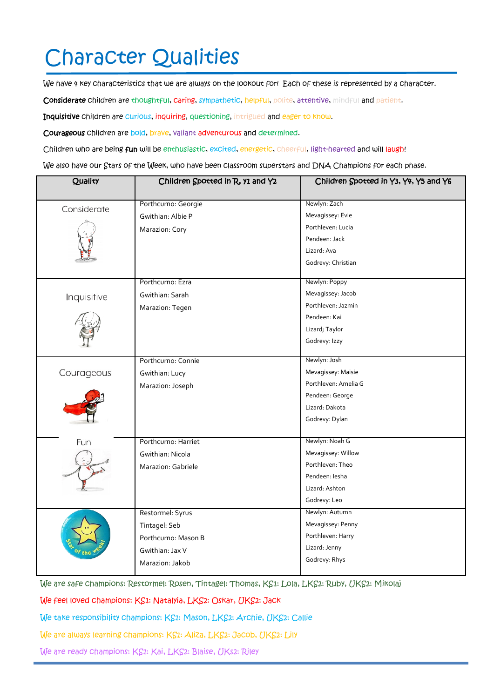# Character Qualities

We have 4 key characteristics that we are always on the lookout for! Each of these is represented by a character.

Considerate children are thoughtful, caring, sympathetic, helpful, polite, attentive, mindful and patient.

Inquisitive children are curious, inquiring, questioning, intrigued and eager to know.

Courageous children are bold, brave, valiant adventurous and determined.

Children who are being fun will be enthusiastic, excited, energetic, cheerful, light-hearted and will laugh!

We also have our Stars of the Week, who have been classroom superstars and DNA Champions for each phase.

| Quality     | Children Spotted in R, y1 and Y2 | Children Spotted in Y3, Y4, Y5 and Y6 |
|-------------|----------------------------------|---------------------------------------|
| Considerate | Porthcurno: Georgie              | Newlyn: Zach                          |
|             | Gwithian: Albie P                | Mevagissey: Evie                      |
|             | Marazion: Cory                   | Porthleven: Lucia                     |
|             |                                  | Pendeen: Jack                         |
|             |                                  | Lizard: Ava                           |
|             |                                  | Godrevy: Christian                    |
|             | Porthcurno: Ezra                 | Newlyn: Poppy                         |
| Inquisitive | Gwithian: Sarah                  | Mevagissey: Jacob                     |
|             | Marazion: Tegen                  | Porthleven: Jazmin                    |
|             |                                  | Pendeen: Kai                          |
|             |                                  | Lizard; Taylor                        |
|             |                                  | Godrevy: Izzy                         |
|             | Porthcurno: Connie               | Newlyn: Josh                          |
| Courageous  | Gwithian: Lucy                   | Mevagissey: Maisie                    |
|             | Marazion: Joseph                 | Porthleven: Amelia G                  |
|             |                                  | Pendeen: George                       |
|             |                                  | Lizard: Dakota                        |
|             |                                  | Godrevy: Dylan                        |
| Fun         | Porthcurno: Harriet              | Newlyn: Noah G                        |
|             | Gwithian: Nicola                 | Mevagissey: Willow                    |
|             | Marazion: Gabriele               | Porthleven: Theo                      |
|             |                                  | Pendeen: lesha                        |
|             |                                  | Lizard: Ashton                        |
|             |                                  | Godrevy: Leo                          |
|             | Restormel: Syrus                 | Newlyn: Autumn                        |
|             | Tintagel: Seb                    | Mevagissey: Penny                     |
|             | Porthcurno: Mason B              | Porthleven: Harry                     |
|             | Gwithian: Jax V                  | Lizard: Jenny                         |
|             | Marazion: Jakob                  | Godrevy: Rhys                         |
|             |                                  |                                       |

We are safe champions: Restormel: Rosen, Tintagel: Thomas, KS1: Lola, LKS2: Ruby, UKS2: Mikolaj

We feel loved champions: KS1: Natalyia, LKS2: Oskar, UKS2: Jack

We take responsibility champions: KS1: Mason, LKS2: Archie, UKS2: Callie

We are always learning champions: KS1: Aliza, LKS2: Jacob, UKS2: Lily

We are ready champions: KS1: Kai, LKS2: Blaise, UKs2: Riley